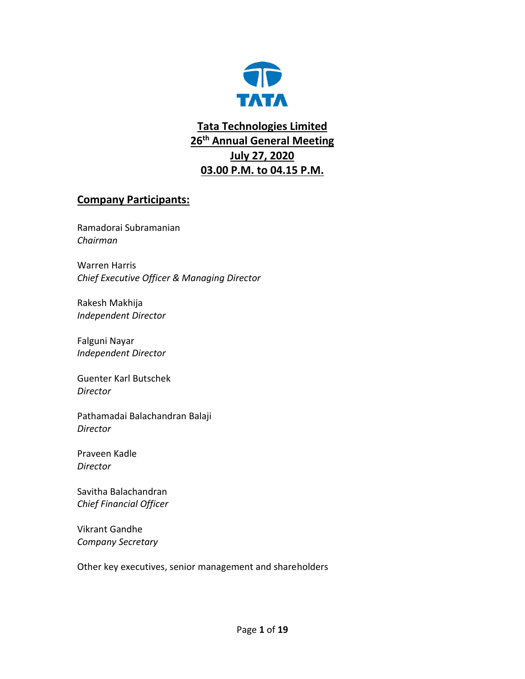

**Tata Technologies Limited 26th Annual General Meeting July 27, 2020 03.00 P.M. to 04.15 P.M.**

## **Company Participants:**

Ramadorai Subramanian *Chairman*

Warren Harris *Chief Executive Officer & Managing Director*

Rakesh Makhija *Independent Director*

Falguni Nayar *Independent Director*

Guenter Karl Butschek *Director*

Pathamadai Balachandran Balaji *Director*

Praveen Kadle *Director*

Savitha Balachandran *Chief Financial Officer*

Vikrant Gandhe *Company Secretary*

Other key executives, senior management and shareholders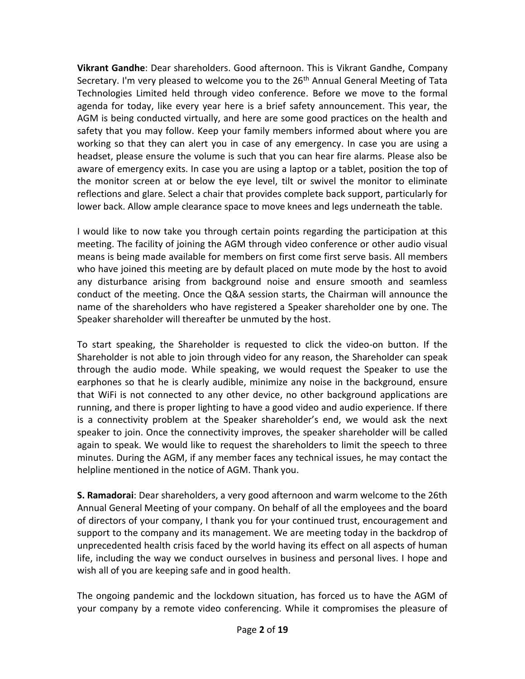**Vikrant Gandhe**: Dear shareholders. Good afternoon. This is Vikrant Gandhe, Company Secretary. I'm very pleased to welcome you to the 26<sup>th</sup> Annual General Meeting of Tata Technologies Limited held through video conference. Before we move to the formal agenda for today, like every year here is a brief safety announcement. This year, the AGM is being conducted virtually, and here are some good practices on the health and safety that you may follow. Keep your family members informed about where you are working so that they can alert you in case of any emergency. In case you are using a headset, please ensure the volume is such that you can hear fire alarms. Please also be aware of emergency exits. In case you are using a laptop or a tablet, position the top of the monitor screen at or below the eye level, tilt or swivel the monitor to eliminate reflections and glare. Select a chair that provides complete back support, particularly for lower back. Allow ample clearance space to move knees and legs underneath the table.

I would like to now take you through certain points regarding the participation at this meeting. The facility of joining the AGM through video conference or other audio visual means is being made available for members on first come first serve basis. All members who have joined this meeting are by default placed on mute mode by the host to avoid any disturbance arising from background noise and ensure smooth and seamless conduct of the meeting. Once the Q&A session starts, the Chairman will announce the name of the shareholders who have registered a Speaker shareholder one by one. The Speaker shareholder will thereafter be unmuted by the host.

To start speaking, the Shareholder is requested to click the video-on button. If the Shareholder is not able to join through video for any reason, the Shareholder can speak through the audio mode. While speaking, we would request the Speaker to use the earphones so that he is clearly audible, minimize any noise in the background, ensure that WiFi is not connected to any other device, no other background applications are running, and there is proper lighting to have a good video and audio experience. If there is a connectivity problem at the Speaker shareholder's end, we would ask the next speaker to join. Once the connectivity improves, the speaker shareholder will be called again to speak. We would like to request the shareholders to limit the speech to three minutes. During the AGM, if any member faces any technical issues, he may contact the helpline mentioned in the notice of AGM. Thank you.

**S. Ramadorai**: Dear shareholders, a very good afternoon and warm welcome to the 26th Annual General Meeting of your company. On behalf of all the employees and the board of directors of your company, I thank you for your continued trust, encouragement and support to the company and its management. We are meeting today in the backdrop of unprecedented health crisis faced by the world having its effect on all aspects of human life, including the way we conduct ourselves in business and personal lives. I hope and wish all of you are keeping safe and in good health.

The ongoing pandemic and the lockdown situation, has forced us to have the AGM of your company by a remote video conferencing. While it compromises the pleasure of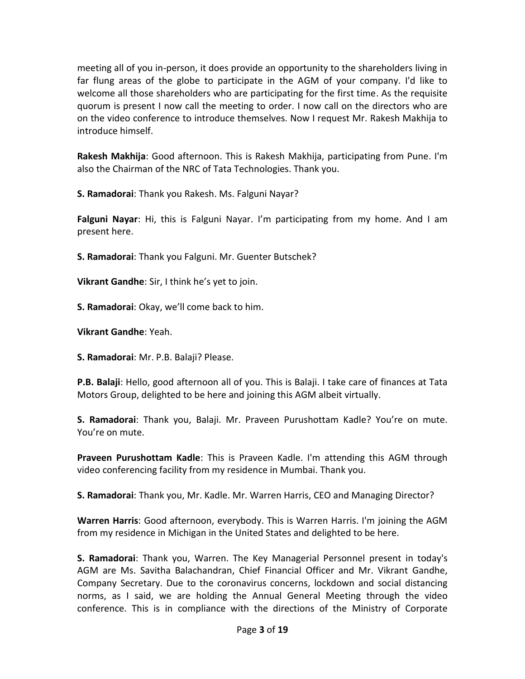meeting all of you in-person, it does provide an opportunity to the shareholders living in far flung areas of the globe to participate in the AGM of your company. I'd like to welcome all those shareholders who are participating for the first time. As the requisite quorum is present I now call the meeting to order. I now call on the directors who are on the video conference to introduce themselves. Now I request Mr. Rakesh Makhija to introduce himself.

**Rakesh Makhija**: Good afternoon. This is Rakesh Makhija, participating from Pune. I'm also the Chairman of the NRC of Tata Technologies. Thank you.

**S. Ramadorai**: Thank you Rakesh. Ms. Falguni Nayar?

**Falguni Nayar**: Hi, this is Falguni Nayar. I'm participating from my home. And I am present here.

**S. Ramadorai**: Thank you Falguni. Mr. Guenter Butschek?

**Vikrant Gandhe**: Sir, I think he's yet to join.

**S. Ramadorai**: Okay, we'll come back to him.

**Vikrant Gandhe**: Yeah.

**S. Ramadorai**: Mr. P.B. Balaji? Please.

**P.B. Balaji**: Hello, good afternoon all of you. This is Balaji. I take care of finances at Tata Motors Group, delighted to be here and joining this AGM albeit virtually.

**S. Ramadorai**: Thank you, Balaji. Mr. Praveen Purushottam Kadle? You're on mute. You're on mute.

**Praveen Purushottam Kadle**: This is Praveen Kadle. I'm attending this AGM through video conferencing facility from my residence in Mumbai. Thank you.

**S. Ramadorai**: Thank you, Mr. Kadle. Mr. Warren Harris, CEO and Managing Director?

**Warren Harris**: Good afternoon, everybody. This is Warren Harris. I'm joining the AGM from my residence in Michigan in the United States and delighted to be here.

**S. Ramadorai**: Thank you, Warren. The Key Managerial Personnel present in today's AGM are Ms. Savitha Balachandran, Chief Financial Officer and Mr. Vikrant Gandhe, Company Secretary. Due to the coronavirus concerns, lockdown and social distancing norms, as I said, we are holding the Annual General Meeting through the video conference. This is in compliance with the directions of the Ministry of Corporate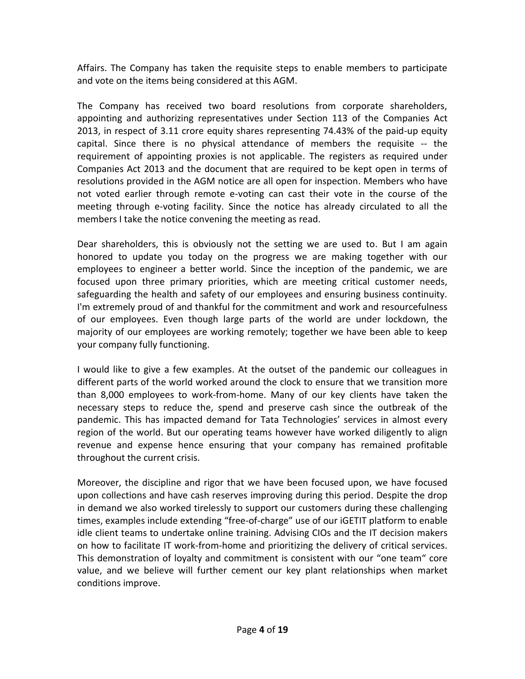Affairs. The Company has taken the requisite steps to enable members to participate and vote on the items being considered at this AGM.

The Company has received two board resolutions from corporate shareholders, appointing and authorizing representatives under Section 113 of the Companies Act 2013, in respect of 3.11 crore equity shares representing 74.43% of the paid-up equity capital. Since there is no physical attendance of members the requisite -- the requirement of appointing proxies is not applicable. The registers as required under Companies Act 2013 and the document that are required to be kept open in terms of resolutions provided in the AGM notice are all open for inspection. Members who have not voted earlier through remote e-voting can cast their vote in the course of the meeting through e-voting facility. Since the notice has already circulated to all the members I take the notice convening the meeting as read.

Dear shareholders, this is obviously not the setting we are used to. But I am again honored to update you today on the progress we are making together with our employees to engineer a better world. Since the inception of the pandemic, we are focused upon three primary priorities, which are meeting critical customer needs, safeguarding the health and safety of our employees and ensuring business continuity. I'm extremely proud of and thankful for the commitment and work and resourcefulness of our employees. Even though large parts of the world are under lockdown, the majority of our employees are working remotely; together we have been able to keep your company fully functioning.

I would like to give a few examples. At the outset of the pandemic our colleagues in different parts of the world worked around the clock to ensure that we transition more than 8,000 employees to work-from-home. Many of our key clients have taken the necessary steps to reduce the, spend and preserve cash since the outbreak of the pandemic. This has impacted demand for Tata Technologies' services in almost every region of the world. But our operating teams however have worked diligently to align revenue and expense hence ensuring that your company has remained profitable throughout the current crisis.

Moreover, the discipline and rigor that we have been focused upon, we have focused upon collections and have cash reserves improving during this period. Despite the drop in demand we also worked tirelessly to support our customers during these challenging times, examples include extending "free-of-charge" use of our iGETIT platform to enable idle client teams to undertake online training. Advising CIOs and the IT decision makers on how to facilitate IT work-from-home and prioritizing the delivery of critical services. This demonstration of loyalty and commitment is consistent with our "one team" core value, and we believe will further cement our key plant relationships when market conditions improve.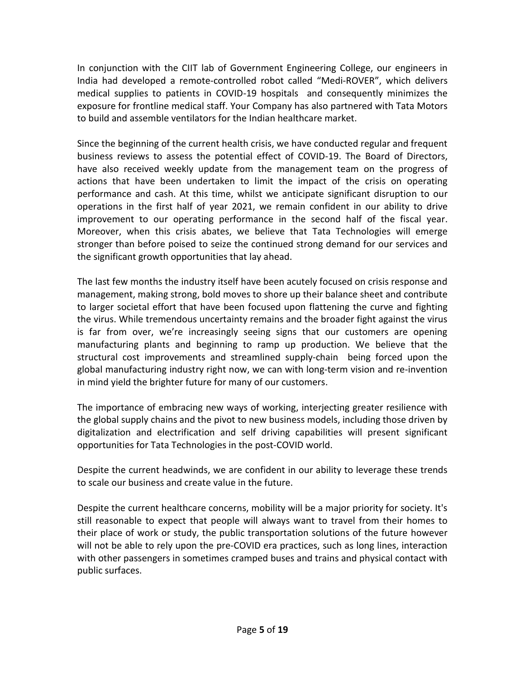In conjunction with the CIIT lab of Government Engineering College, our engineers in India had developed a remote-controlled robot called "Medi-ROVER", which delivers medical supplies to patients in COVID-19 hospitals and consequently minimizes the exposure for frontline medical staff. Your Company has also partnered with Tata Motors to build and assemble ventilators for the Indian healthcare market.

Since the beginning of the current health crisis, we have conducted regular and frequent business reviews to assess the potential effect of COVID-19. The Board of Directors, have also received weekly update from the management team on the progress of actions that have been undertaken to limit the impact of the crisis on operating performance and cash. At this time, whilst we anticipate significant disruption to our operations in the first half of year 2021, we remain confident in our ability to drive improvement to our operating performance in the second half of the fiscal year. Moreover, when this crisis abates, we believe that Tata Technologies will emerge stronger than before poised to seize the continued strong demand for our services and the significant growth opportunities that lay ahead.

The last few months the industry itself have been acutely focused on crisis response and management, making strong, bold moves to shore up their balance sheet and contribute to larger societal effort that have been focused upon flattening the curve and fighting the virus. While tremendous uncertainty remains and the broader fight against the virus is far from over, we're increasingly seeing signs that our customers are opening manufacturing plants and beginning to ramp up production. We believe that the structural cost improvements and streamlined supply-chain being forced upon the global manufacturing industry right now, we can with long-term vision and re-invention in mind yield the brighter future for many of our customers.

The importance of embracing new ways of working, interjecting greater resilience with the global supply chains and the pivot to new business models, including those driven by digitalization and electrification and self driving capabilities will present significant opportunities for Tata Technologies in the post-COVID world.

Despite the current headwinds, we are confident in our ability to leverage these trends to scale our business and create value in the future.

Despite the current healthcare concerns, mobility will be a major priority for society. It's still reasonable to expect that people will always want to travel from their homes to their place of work or study, the public transportation solutions of the future however will not be able to rely upon the pre-COVID era practices, such as long lines, interaction with other passengers in sometimes cramped buses and trains and physical contact with public surfaces.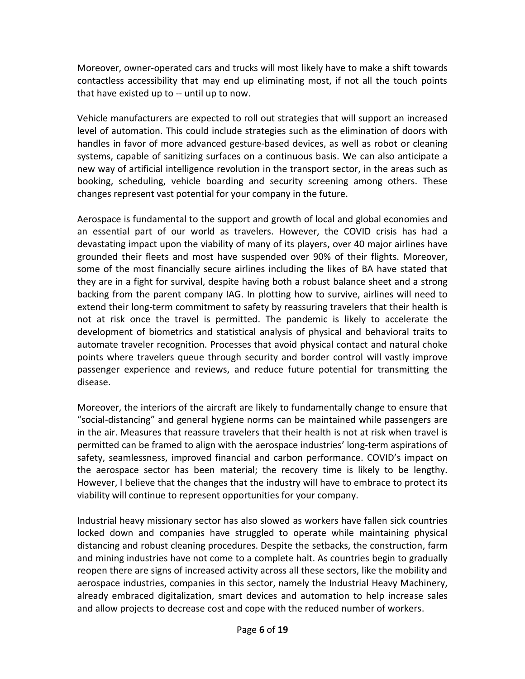Moreover, owner-operated cars and trucks will most likely have to make a shift towards contactless accessibility that may end up eliminating most, if not all the touch points that have existed up to -- until up to now.

Vehicle manufacturers are expected to roll out strategies that will support an increased level of automation. This could include strategies such as the elimination of doors with handles in favor of more advanced gesture-based devices, as well as robot or cleaning systems, capable of sanitizing surfaces on a continuous basis. We can also anticipate a new way of artificial intelligence revolution in the transport sector, in the areas such as booking, scheduling, vehicle boarding and security screening among others. These changes represent vast potential for your company in the future.

Aerospace is fundamental to the support and growth of local and global economies and an essential part of our world as travelers. However, the COVID crisis has had a devastating impact upon the viability of many of its players, over 40 major airlines have grounded their fleets and most have suspended over 90% of their flights. Moreover, some of the most financially secure airlines including the likes of BA have stated that they are in a fight for survival, despite having both a robust balance sheet and a strong backing from the parent company IAG. In plotting how to survive, airlines will need to extend their long-term commitment to safety by reassuring travelers that their health is not at risk once the travel is permitted. The pandemic is likely to accelerate the development of biometrics and statistical analysis of physical and behavioral traits to automate traveler recognition. Processes that avoid physical contact and natural choke points where travelers queue through security and border control will vastly improve passenger experience and reviews, and reduce future potential for transmitting the disease.

Moreover, the interiors of the aircraft are likely to fundamentally change to ensure that "social-distancing" and general hygiene norms can be maintained while passengers are in the air. Measures that reassure travelers that their health is not at risk when travel is permitted can be framed to align with the aerospace industries' long-term aspirations of safety, seamlessness, improved financial and carbon performance. COVID's impact on the aerospace sector has been material; the recovery time is likely to be lengthy. However, I believe that the changes that the industry will have to embrace to protect its viability will continue to represent opportunities for your company.

Industrial heavy missionary sector has also slowed as workers have fallen sick countries locked down and companies have struggled to operate while maintaining physical distancing and robust cleaning procedures. Despite the setbacks, the construction, farm and mining industries have not come to a complete halt. As countries begin to gradually reopen there are signs of increased activity across all these sectors, like the mobility and aerospace industries, companies in this sector, namely the Industrial Heavy Machinery, already embraced digitalization, smart devices and automation to help increase sales and allow projects to decrease cost and cope with the reduced number of workers.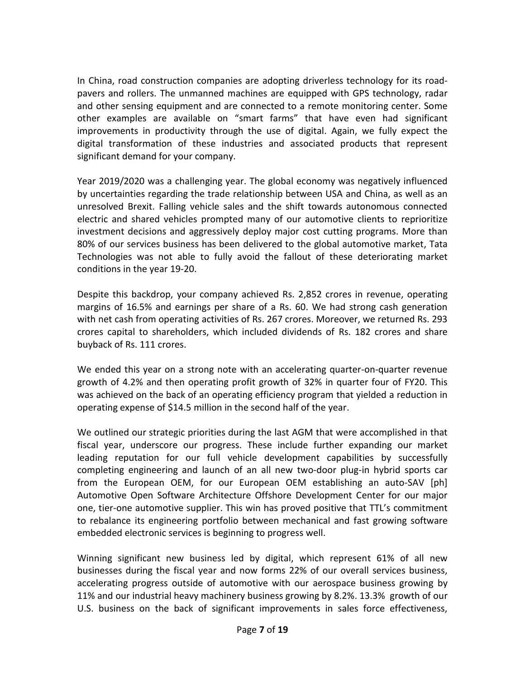In China, road construction companies are adopting driverless technology for its roadpavers and rollers. The unmanned machines are equipped with GPS technology, radar and other sensing equipment and are connected to a remote monitoring center. Some other examples are available on "smart farms" that have even had significant improvements in productivity through the use of digital. Again, we fully expect the digital transformation of these industries and associated products that represent significant demand for your company.

Year 2019/2020 was a challenging year. The global economy was negatively influenced by uncertainties regarding the trade relationship between USA and China, as well as an unresolved Brexit. Falling vehicle sales and the shift towards autonomous connected electric and shared vehicles prompted many of our automotive clients to reprioritize investment decisions and aggressively deploy major cost cutting programs. More than 80% of our services business has been delivered to the global automotive market, Tata Technologies was not able to fully avoid the fallout of these deteriorating market conditions in the year 19-20.

Despite this backdrop, your company achieved Rs. 2,852 crores in revenue, operating margins of 16.5% and earnings per share of a Rs. 60. We had strong cash generation with net cash from operating activities of Rs. 267 crores. Moreover, we returned Rs. 293 crores capital to shareholders, which included dividends of Rs. 182 crores and share buyback of Rs. 111 crores.

We ended this year on a strong note with an accelerating quarter-on-quarter revenue growth of 4.2% and then operating profit growth of 32% in quarter four of FY20. This was achieved on the back of an operating efficiency program that yielded a reduction in operating expense of \$14.5 million in the second half of the year.

We outlined our strategic priorities during the last AGM that were accomplished in that fiscal year, underscore our progress. These include further expanding our market leading reputation for our full vehicle development capabilities by successfully completing engineering and launch of an all new two-door plug-in hybrid sports car from the European OEM, for our European OEM establishing an auto-SAV [ph] Automotive Open Software Architecture Offshore Development Center for our major one, tier-one automotive supplier. This win has proved positive that TTL's commitment to rebalance its engineering portfolio between mechanical and fast growing software embedded electronic services is beginning to progress well.

Winning significant new business led by digital, which represent 61% of all new businesses during the fiscal year and now forms 22% of our overall services business, accelerating progress outside of automotive with our aerospace business growing by 11% and our industrial heavy machinery business growing by 8.2%. 13.3% growth of our U.S. business on the back of significant improvements in sales force effectiveness,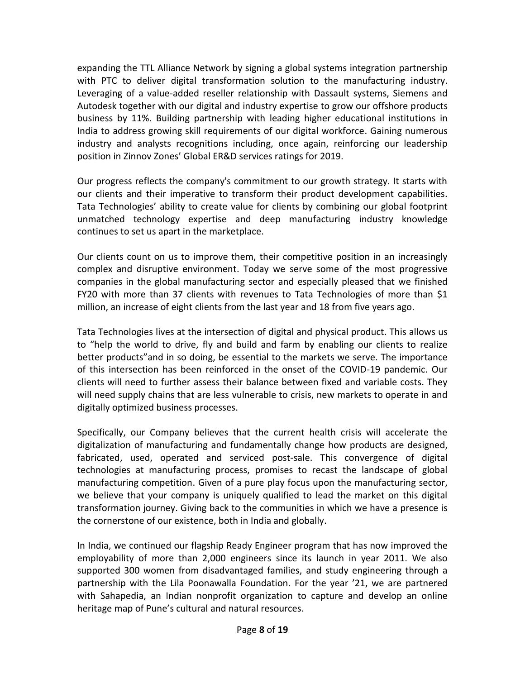expanding the TTL Alliance Network by signing a global systems integration partnership with PTC to deliver digital transformation solution to the manufacturing industry. Leveraging of a value-added reseller relationship with Dassault systems, Siemens and Autodesk together with our digital and industry expertise to grow our offshore products business by 11%. Building partnership with leading higher educational institutions in India to address growing skill requirements of our digital workforce. Gaining numerous industry and analysts recognitions including, once again, reinforcing our leadership position in Zinnov Zones' Global ER&D services ratings for 2019.

Our progress reflects the company's commitment to our growth strategy. It starts with our clients and their imperative to transform their product development capabilities. Tata Technologies' ability to create value for clients by combining our global footprint unmatched technology expertise and deep manufacturing industry knowledge continues to set us apart in the marketplace.

Our clients count on us to improve them, their competitive position in an increasingly complex and disruptive environment. Today we serve some of the most progressive companies in the global manufacturing sector and especially pleased that we finished FY20 with more than 37 clients with revenues to Tata Technologies of more than \$1 million, an increase of eight clients from the last year and 18 from five years ago.

Tata Technologies lives at the intersection of digital and physical product. This allows us to "help the world to drive, fly and build and farm by enabling our clients to realize better products"and in so doing, be essential to the markets we serve. The importance of this intersection has been reinforced in the onset of the COVID-19 pandemic. Our clients will need to further assess their balance between fixed and variable costs. They will need supply chains that are less vulnerable to crisis, new markets to operate in and digitally optimized business processes.

Specifically, our Company believes that the current health crisis will accelerate the digitalization of manufacturing and fundamentally change how products are designed, fabricated, used, operated and serviced post-sale. This convergence of digital technologies at manufacturing process, promises to recast the landscape of global manufacturing competition. Given of a pure play focus upon the manufacturing sector, we believe that your company is uniquely qualified to lead the market on this digital transformation journey. Giving back to the communities in which we have a presence is the cornerstone of our existence, both in India and globally.

In India, we continued our flagship Ready Engineer program that has now improved the employability of more than 2,000 engineers since its launch in year 2011. We also supported 300 women from disadvantaged families, and study engineering through a partnership with the Lila Poonawalla Foundation. For the year '21, we are partnered with Sahapedia, an Indian nonprofit organization to capture and develop an online heritage map of Pune's cultural and natural resources.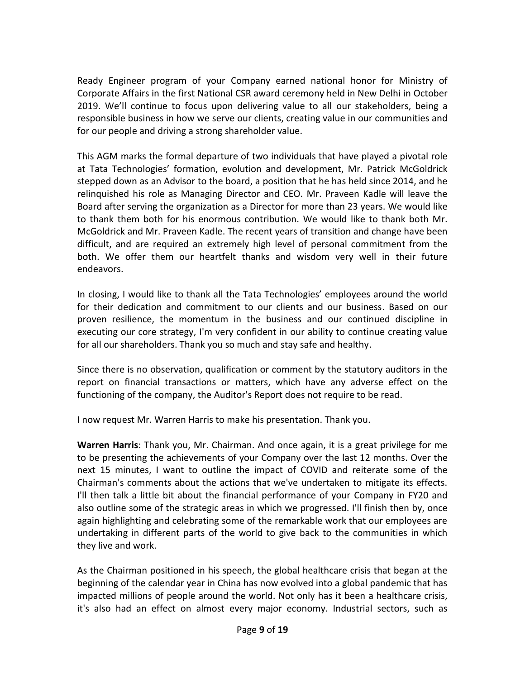Ready Engineer program of your Company earned national honor for Ministry of Corporate Affairs in the first National CSR award ceremony held in New Delhi in October 2019. We'll continue to focus upon delivering value to all our stakeholders, being a responsible business in how we serve our clients, creating value in our communities and for our people and driving a strong shareholder value.

This AGM marks the formal departure of two individuals that have played a pivotal role at Tata Technologies' formation, evolution and development, Mr. Patrick McGoldrick stepped down as an Advisor to the board, a position that he has held since 2014, and he relinquished his role as Managing Director and CEO. Mr. Praveen Kadle will leave the Board after serving the organization as a Director for more than 23 years. We would like to thank them both for his enormous contribution. We would like to thank both Mr. McGoldrick and Mr. Praveen Kadle. The recent years of transition and change have been difficult, and are required an extremely high level of personal commitment from the both. We offer them our heartfelt thanks and wisdom very well in their future endeavors.

In closing, I would like to thank all the Tata Technologies' employees around the world for their dedication and commitment to our clients and our business. Based on our proven resilience, the momentum in the business and our continued discipline in executing our core strategy, I'm very confident in our ability to continue creating value for all our shareholders. Thank you so much and stay safe and healthy.

Since there is no observation, qualification or comment by the statutory auditors in the report on financial transactions or matters, which have any adverse effect on the functioning of the company, the Auditor's Report does not require to be read.

I now request Mr. Warren Harris to make his presentation. Thank you.

**Warren Harris**: Thank you, Mr. Chairman. And once again, it is a great privilege for me to be presenting the achievements of your Company over the last 12 months. Over the next 15 minutes, I want to outline the impact of COVID and reiterate some of the Chairman's comments about the actions that we've undertaken to mitigate its effects. I'll then talk a little bit about the financial performance of your Company in FY20 and also outline some of the strategic areas in which we progressed. I'll finish then by, once again highlighting and celebrating some of the remarkable work that our employees are undertaking in different parts of the world to give back to the communities in which they live and work.

As the Chairman positioned in his speech, the global healthcare crisis that began at the beginning of the calendar year in China has now evolved into a global pandemic that has impacted millions of people around the world. Not only has it been a healthcare crisis, it's also had an effect on almost every major economy. Industrial sectors, such as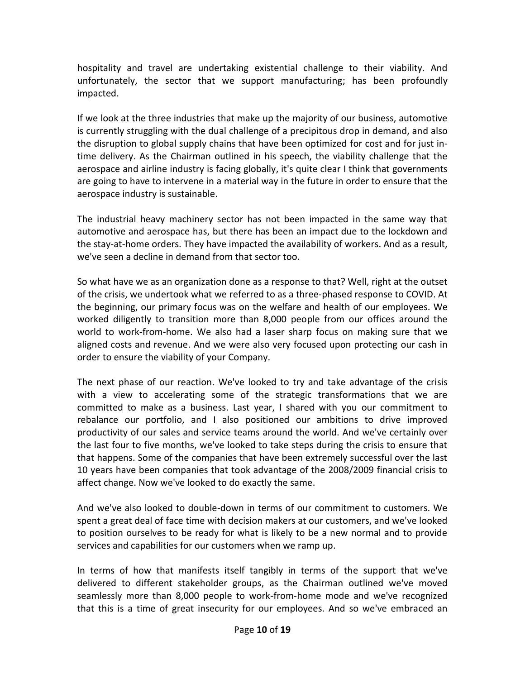hospitality and travel are undertaking existential challenge to their viability. And unfortunately, the sector that we support manufacturing; has been profoundly impacted.

If we look at the three industries that make up the majority of our business, automotive is currently struggling with the dual challenge of a precipitous drop in demand, and also the disruption to global supply chains that have been optimized for cost and for just intime delivery. As the Chairman outlined in his speech, the viability challenge that the aerospace and airline industry is facing globally, it's quite clear I think that governments are going to have to intervene in a material way in the future in order to ensure that the aerospace industry is sustainable.

The industrial heavy machinery sector has not been impacted in the same way that automotive and aerospace has, but there has been an impact due to the lockdown and the stay-at-home orders. They have impacted the availability of workers. And as a result, we've seen a decline in demand from that sector too.

So what have we as an organization done as a response to that? Well, right at the outset of the crisis, we undertook what we referred to as a three-phased response to COVID. At the beginning, our primary focus was on the welfare and health of our employees. We worked diligently to transition more than 8,000 people from our offices around the world to work-from-home. We also had a laser sharp focus on making sure that we aligned costs and revenue. And we were also very focused upon protecting our cash in order to ensure the viability of your Company.

The next phase of our reaction. We've looked to try and take advantage of the crisis with a view to accelerating some of the strategic transformations that we are committed to make as a business. Last year, I shared with you our commitment to rebalance our portfolio, and I also positioned our ambitions to drive improved productivity of our sales and service teams around the world. And we've certainly over the last four to five months, we've looked to take steps during the crisis to ensure that that happens. Some of the companies that have been extremely successful over the last 10 years have been companies that took advantage of the 2008/2009 financial crisis to affect change. Now we've looked to do exactly the same.

And we've also looked to double-down in terms of our commitment to customers. We spent a great deal of face time with decision makers at our customers, and we've looked to position ourselves to be ready for what is likely to be a new normal and to provide services and capabilities for our customers when we ramp up.

In terms of how that manifests itself tangibly in terms of the support that we've delivered to different stakeholder groups, as the Chairman outlined we've moved seamlessly more than 8,000 people to work-from-home mode and we've recognized that this is a time of great insecurity for our employees. And so we've embraced an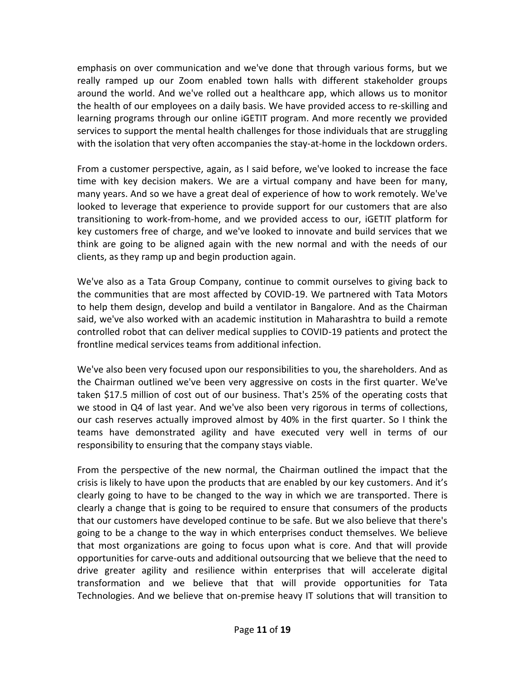emphasis on over communication and we've done that through various forms, but we really ramped up our Zoom enabled town halls with different stakeholder groups around the world. And we've rolled out a healthcare app, which allows us to monitor the health of our employees on a daily basis. We have provided access to re-skilling and learning programs through our online iGETIT program. And more recently we provided services to support the mental health challenges for those individuals that are struggling with the isolation that very often accompanies the stay-at-home in the lockdown orders.

From a customer perspective, again, as I said before, we've looked to increase the face time with key decision makers. We are a virtual company and have been for many, many years. And so we have a great deal of experience of how to work remotely. We've looked to leverage that experience to provide support for our customers that are also transitioning to work-from-home, and we provided access to our, iGETIT platform for key customers free of charge, and we've looked to innovate and build services that we think are going to be aligned again with the new normal and with the needs of our clients, as they ramp up and begin production again.

We've also as a Tata Group Company, continue to commit ourselves to giving back to the communities that are most affected by COVID-19. We partnered with Tata Motors to help them design, develop and build a ventilator in Bangalore. And as the Chairman said, we've also worked with an academic institution in Maharashtra to build a remote controlled robot that can deliver medical supplies to COVID-19 patients and protect the frontline medical services teams from additional infection.

We've also been very focused upon our responsibilities to you, the shareholders. And as the Chairman outlined we've been very aggressive on costs in the first quarter. We've taken \$17.5 million of cost out of our business. That's 25% of the operating costs that we stood in Q4 of last year. And we've also been very rigorous in terms of collections, our cash reserves actually improved almost by 40% in the first quarter. So I think the teams have demonstrated agility and have executed very well in terms of our responsibility to ensuring that the company stays viable.

From the perspective of the new normal, the Chairman outlined the impact that the crisis is likely to have upon the products that are enabled by our key customers. And it's clearly going to have to be changed to the way in which we are transported. There is clearly a change that is going to be required to ensure that consumers of the products that our customers have developed continue to be safe. But we also believe that there's going to be a change to the way in which enterprises conduct themselves. We believe that most organizations are going to focus upon what is core. And that will provide opportunities for carve-outs and additional outsourcing that we believe that the need to drive greater agility and resilience within enterprises that will accelerate digital transformation and we believe that that will provide opportunities for Tata Technologies. And we believe that on-premise heavy IT solutions that will transition to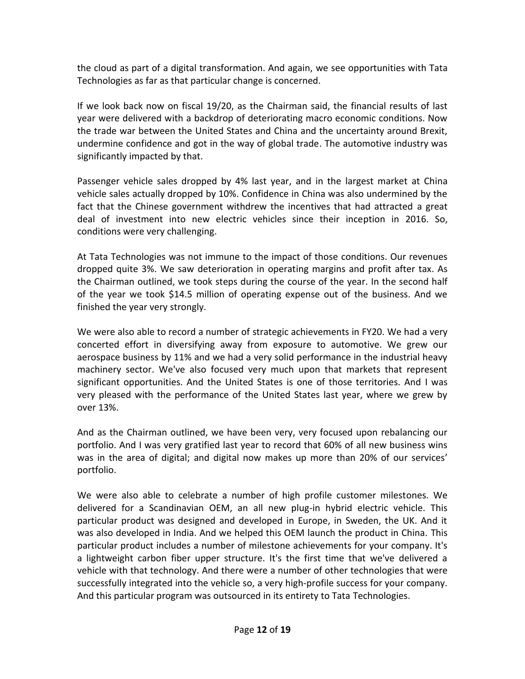the cloud as part of a digital transformation. And again, we see opportunities with Tata Technologies as far as that particular change is concerned.

If we look back now on fiscal 19/20, as the Chairman said, the financial results of last year were delivered with a backdrop of deteriorating macro economic conditions. Now the trade war between the United States and China and the uncertainty around Brexit, undermine confidence and got in the way of global trade. The automotive industry was significantly impacted by that.

Passenger vehicle sales dropped by 4% last year, and in the largest market at China vehicle sales actually dropped by 10%. Confidence in China was also undermined by the fact that the Chinese government withdrew the incentives that had attracted a great deal of investment into new electric vehicles since their inception in 2016. So, conditions were very challenging.

At Tata Technologies was not immune to the impact of those conditions. Our revenues dropped quite 3%. We saw deterioration in operating margins and profit after tax. As the Chairman outlined, we took steps during the course of the year. In the second half of the year we took \$14.5 million of operating expense out of the business. And we finished the year very strongly.

We were also able to record a number of strategic achievements in FY20. We had a very concerted effort in diversifying away from exposure to automotive. We grew our aerospace business by 11% and we had a very solid performance in the industrial heavy machinery sector. We've also focused very much upon that markets that represent significant opportunities. And the United States is one of those territories. And I was very pleased with the performance of the United States last year, where we grew by over 13%.

And as the Chairman outlined, we have been very, very focused upon rebalancing our portfolio. And I was very gratified last year to record that 60% of all new business wins was in the area of digital; and digital now makes up more than 20% of our services' portfolio.

We were also able to celebrate a number of high profile customer milestones. We delivered for a Scandinavian OEM, an all new plug-in hybrid electric vehicle. This particular product was designed and developed in Europe, in Sweden, the UK. And it was also developed in India. And we helped this OEM launch the product in China. This particular product includes a number of milestone achievements for your company. It's a lightweight carbon fiber upper structure. It's the first time that we've delivered a vehicle with that technology. And there were a number of other technologies that were successfully integrated into the vehicle so, a very high-profile success for your company. And this particular program was outsourced in its entirety to Tata Technologies.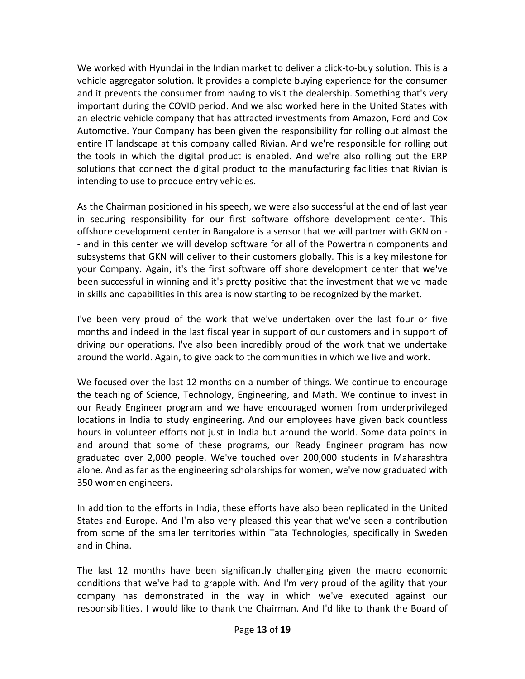We worked with Hyundai in the Indian market to deliver a click-to-buy solution. This is a vehicle aggregator solution. It provides a complete buying experience for the consumer and it prevents the consumer from having to visit the dealership. Something that's very important during the COVID period. And we also worked here in the United States with an electric vehicle company that has attracted investments from Amazon, Ford and Cox Automotive. Your Company has been given the responsibility for rolling out almost the entire IT landscape at this company called Rivian. And we're responsible for rolling out the tools in which the digital product is enabled. And we're also rolling out the ERP solutions that connect the digital product to the manufacturing facilities that Rivian is intending to use to produce entry vehicles.

As the Chairman positioned in his speech, we were also successful at the end of last year in securing responsibility for our first software offshore development center. This offshore development center in Bangalore is a sensor that we will partner with GKN on - - and in this center we will develop software for all of the Powertrain components and subsystems that GKN will deliver to their customers globally. This is a key milestone for your Company. Again, it's the first software off shore development center that we've been successful in winning and it's pretty positive that the investment that we've made in skills and capabilities in this area is now starting to be recognized by the market.

I've been very proud of the work that we've undertaken over the last four or five months and indeed in the last fiscal year in support of our customers and in support of driving our operations. I've also been incredibly proud of the work that we undertake around the world. Again, to give back to the communities in which we live and work.

We focused over the last 12 months on a number of things. We continue to encourage the teaching of Science, Technology, Engineering, and Math. We continue to invest in our Ready Engineer program and we have encouraged women from underprivileged locations in India to study engineering. And our employees have given back countless hours in volunteer efforts not just in India but around the world. Some data points in and around that some of these programs, our Ready Engineer program has now graduated over 2,000 people. We've touched over 200,000 students in Maharashtra alone. And as far as the engineering scholarships for women, we've now graduated with 350 women engineers.

In addition to the efforts in India, these efforts have also been replicated in the United States and Europe. And I'm also very pleased this year that we've seen a contribution from some of the smaller territories within Tata Technologies, specifically in Sweden and in China.

The last 12 months have been significantly challenging given the macro economic conditions that we've had to grapple with. And I'm very proud of the agility that your company has demonstrated in the way in which we've executed against our responsibilities. I would like to thank the Chairman. And I'd like to thank the Board of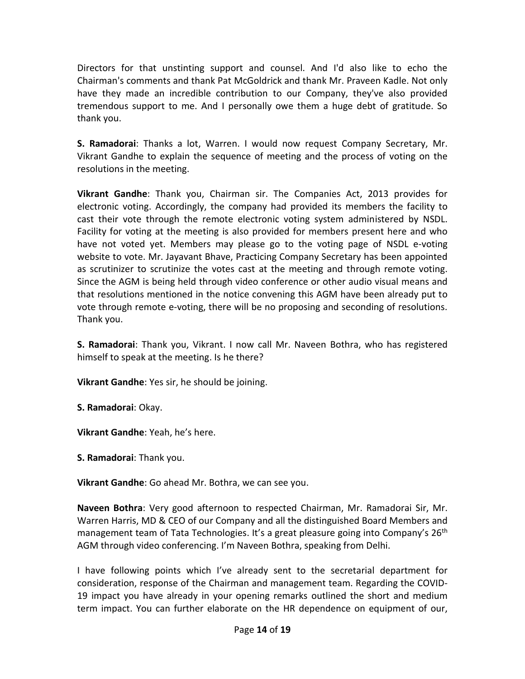Directors for that unstinting support and counsel. And I'd also like to echo the Chairman's comments and thank Pat McGoldrick and thank Mr. Praveen Kadle. Not only have they made an incredible contribution to our Company, they've also provided tremendous support to me. And I personally owe them a huge debt of gratitude. So thank you.

**S. Ramadorai**: Thanks a lot, Warren. I would now request Company Secretary, Mr. Vikrant Gandhe to explain the sequence of meeting and the process of voting on the resolutions in the meeting.

**Vikrant Gandhe**: Thank you, Chairman sir. The Companies Act, 2013 provides for electronic voting. Accordingly, the company had provided its members the facility to cast their vote through the remote electronic voting system administered by NSDL. Facility for voting at the meeting is also provided for members present here and who have not voted yet. Members may please go to the voting page of NSDL e-voting website to vote. Mr. Jayavant Bhave, Practicing Company Secretary has been appointed as scrutinizer to scrutinize the votes cast at the meeting and through remote voting. Since the AGM is being held through video conference or other audio visual means and that resolutions mentioned in the notice convening this AGM have been already put to vote through remote e-voting, there will be no proposing and seconding of resolutions. Thank you.

**S. Ramadorai**: Thank you, Vikrant. I now call Mr. Naveen Bothra, who has registered himself to speak at the meeting. Is he there?

**Vikrant Gandhe**: Yes sir, he should be joining.

**S. Ramadorai**: Okay.

**Vikrant Gandhe**: Yeah, he's here.

**S. Ramadorai**: Thank you.

**Vikrant Gandhe**: Go ahead Mr. Bothra, we can see you.

**Naveen Bothra**: Very good afternoon to respected Chairman, Mr. Ramadorai Sir, Mr. Warren Harris, MD & CEO of our Company and all the distinguished Board Members and management team of Tata Technologies. It's a great pleasure going into Company's 26<sup>th</sup> AGM through video conferencing. I'm Naveen Bothra, speaking from Delhi.

I have following points which I've already sent to the secretarial department for consideration, response of the Chairman and management team. Regarding the COVID-19 impact you have already in your opening remarks outlined the short and medium term impact. You can further elaborate on the HR dependence on equipment of our,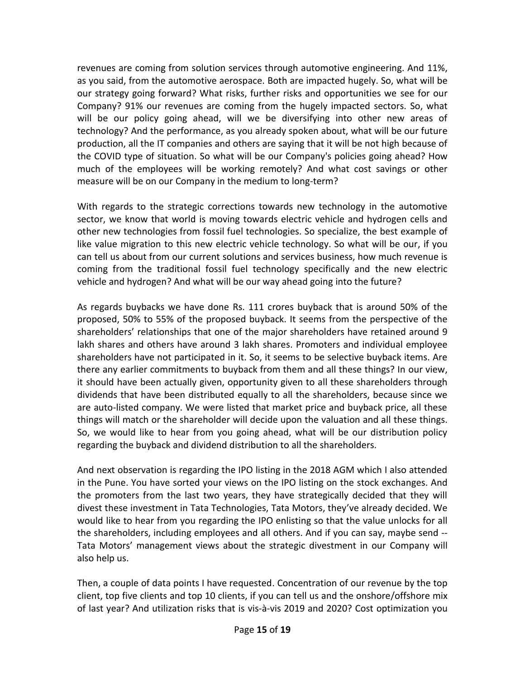revenues are coming from solution services through automotive engineering. And 11%, as you said, from the automotive aerospace. Both are impacted hugely. So, what will be our strategy going forward? What risks, further risks and opportunities we see for our Company? 91% our revenues are coming from the hugely impacted sectors. So, what will be our policy going ahead, will we be diversifying into other new areas of technology? And the performance, as you already spoken about, what will be our future production, all the IT companies and others are saying that it will be not high because of the COVID type of situation. So what will be our Company's policies going ahead? How much of the employees will be working remotely? And what cost savings or other measure will be on our Company in the medium to long-term?

With regards to the strategic corrections towards new technology in the automotive sector, we know that world is moving towards electric vehicle and hydrogen cells and other new technologies from fossil fuel technologies. So specialize, the best example of like value migration to this new electric vehicle technology. So what will be our, if you can tell us about from our current solutions and services business, how much revenue is coming from the traditional fossil fuel technology specifically and the new electric vehicle and hydrogen? And what will be our way ahead going into the future?

As regards buybacks we have done Rs. 111 crores buyback that is around 50% of the proposed, 50% to 55% of the proposed buyback. It seems from the perspective of the shareholders' relationships that one of the major shareholders have retained around 9 lakh shares and others have around 3 lakh shares. Promoters and individual employee shareholders have not participated in it. So, it seems to be selective buyback items. Are there any earlier commitments to buyback from them and all these things? In our view, it should have been actually given, opportunity given to all these shareholders through dividends that have been distributed equally to all the shareholders, because since we are auto-listed company. We were listed that market price and buyback price, all these things will match or the shareholder will decide upon the valuation and all these things. So, we would like to hear from you going ahead, what will be our distribution policy regarding the buyback and dividend distribution to all the shareholders.

And next observation is regarding the IPO listing in the 2018 AGM which I also attended in the Pune. You have sorted your views on the IPO listing on the stock exchanges. And the promoters from the last two years, they have strategically decided that they will divest these investment in Tata Technologies, Tata Motors, they've already decided. We would like to hear from you regarding the IPO enlisting so that the value unlocks for all the shareholders, including employees and all others. And if you can say, maybe send -- Tata Motors' management views about the strategic divestment in our Company will also help us.

Then, a couple of data points I have requested. Concentration of our revenue by the top client, top five clients and top 10 clients, if you can tell us and the onshore/offshore mix of last year? And utilization risks that is vis-à-vis 2019 and 2020? Cost optimization you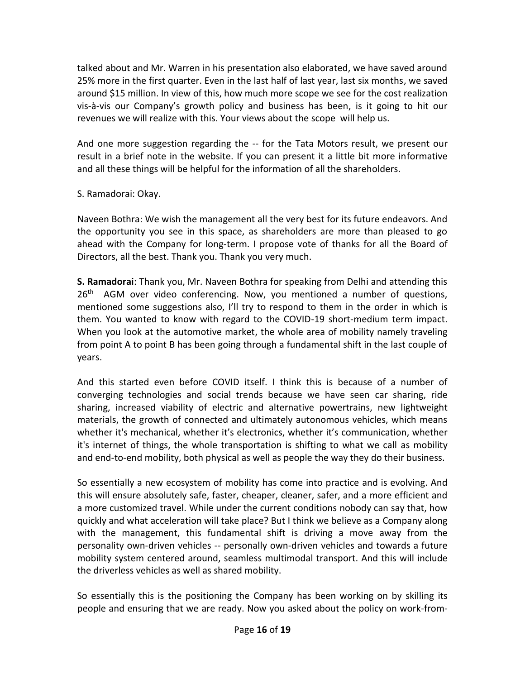talked about and Mr. Warren in his presentation also elaborated, we have saved around 25% more in the first quarter. Even in the last half of last year, last six months, we saved around \$15 million. In view of this, how much more scope we see for the cost realization vis-à-vis our Company's growth policy and business has been, is it going to hit our revenues we will realize with this. Your views about the scope will help us.

And one more suggestion regarding the -- for the Tata Motors result, we present our result in a brief note in the website. If you can present it a little bit more informative and all these things will be helpful for the information of all the shareholders.

## S. Ramadorai: Okay.

Naveen Bothra: We wish the management all the very best for its future endeavors. And the opportunity you see in this space, as shareholders are more than pleased to go ahead with the Company for long-term. I propose vote of thanks for all the Board of Directors, all the best. Thank you. Thank you very much.

**S. Ramadorai**: Thank you, Mr. Naveen Bothra for speaking from Delhi and attending this 26<sup>th</sup> AGM over video conferencing. Now, you mentioned a number of questions, mentioned some suggestions also, I'll try to respond to them in the order in which is them. You wanted to know with regard to the COVID-19 short-medium term impact. When you look at the automotive market, the whole area of mobility namely traveling from point A to point B has been going through a fundamental shift in the last couple of years.

And this started even before COVID itself. I think this is because of a number of converging technologies and social trends because we have seen car sharing, ride sharing, increased viability of electric and alternative powertrains, new lightweight materials, the growth of connected and ultimately autonomous vehicles, which means whether it's mechanical, whether it's electronics, whether it's communication, whether it's internet of things, the whole transportation is shifting to what we call as mobility and end-to-end mobility, both physical as well as people the way they do their business.

So essentially a new ecosystem of mobility has come into practice and is evolving. And this will ensure absolutely safe, faster, cheaper, cleaner, safer, and a more efficient and a more customized travel. While under the current conditions nobody can say that, how quickly and what acceleration will take place? But I think we believe as a Company along with the management, this fundamental shift is driving a move away from the personality own-driven vehicles -- personally own-driven vehicles and towards a future mobility system centered around, seamless multimodal transport. And this will include the driverless vehicles as well as shared mobility.

So essentially this is the positioning the Company has been working on by skilling its people and ensuring that we are ready. Now you asked about the policy on work-from-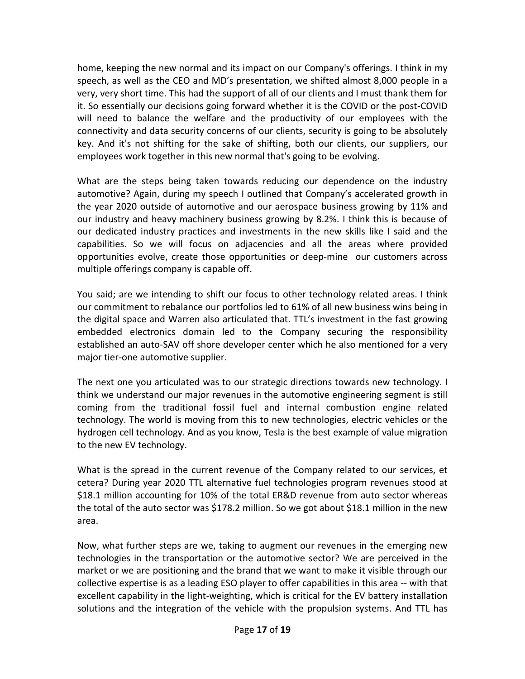home, keeping the new normal and its impact on our Company's offerings. I think in my speech, as well as the CEO and MD's presentation, we shifted almost 8,000 people in a very, very short time. This had the support of all of our clients and I must thank them for it. So essentially our decisions going forward whether it is the COVID or the post-COVID will need to balance the welfare and the productivity of our employees with the connectivity and data security concerns of our clients, security is going to be absolutely key. And it's not shifting for the sake of shifting, both our clients, our suppliers, our employees work together in this new normal that's going to be evolving.

What are the steps being taken towards reducing our dependence on the industry automotive? Again, during my speech I outlined that Company's accelerated growth in the year 2020 outside of automotive and our aerospace business growing by 11% and our industry and heavy machinery business growing by 8.2%. I think this is because of our dedicated industry practices and investments in the new skills like I said and the capabilities. So we will focus on adjacencies and all the areas where provided opportunities evolve, create those opportunities or deep-mine our customers across multiple offerings company is capable off.

You said; are we intending to shift our focus to other technology related areas. I think our commitment to rebalance our portfolios led to 61% of all new business wins being in the digital space and Warren also articulated that. TTL's investment in the fast growing embedded electronics domain led to the Company securing the responsibility established an auto-SAV off shore developer center which he also mentioned for a very major tier-one automotive supplier.

The next one you articulated was to our strategic directions towards new technology. I think we understand our major revenues in the automotive engineering segment is still coming from the traditional fossil fuel and internal combustion engine related technology. The world is moving from this to new technologies, electric vehicles or the hydrogen cell technology. And as you know, Tesla is the best example of value migration to the new EV technology.

What is the spread in the current revenue of the Company related to our services, et cetera? During year 2020 TTL alternative fuel technologies program revenues stood at \$18.1 million accounting for 10% of the total ER&D revenue from auto sector whereas the total of the auto sector was \$178.2 million. So we got about \$18.1 million in the new area.

Now, what further steps are we, taking to augment our revenues in the emerging new technologies in the transportation or the automotive sector? We are perceived in the market or we are positioning and the brand that we want to make it visible through our collective expertise is as a leading ESO player to offer capabilities in this area -- with that excellent capability in the light-weighting, which is critical for the EV battery installation solutions and the integration of the vehicle with the propulsion systems. And TTL has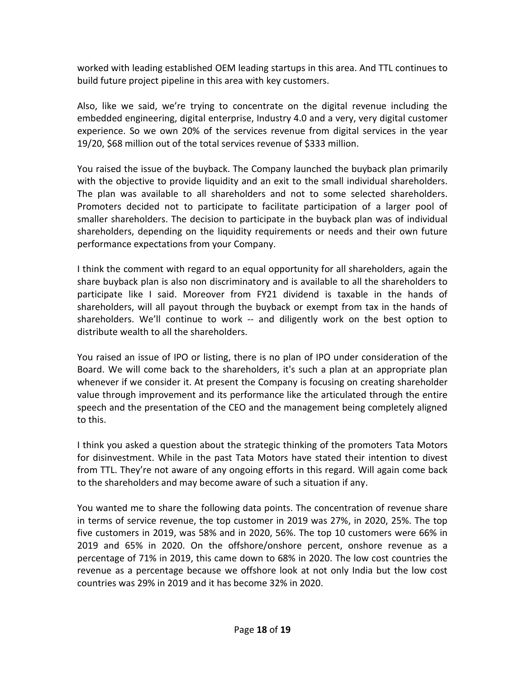worked with leading established OEM leading startups in this area. And TTL continues to build future project pipeline in this area with key customers.

Also, like we said, we're trying to concentrate on the digital revenue including the embedded engineering, digital enterprise, Industry 4.0 and a very, very digital customer experience. So we own 20% of the services revenue from digital services in the year 19/20, \$68 million out of the total services revenue of \$333 million.

You raised the issue of the buyback. The Company launched the buyback plan primarily with the objective to provide liquidity and an exit to the small individual shareholders. The plan was available to all shareholders and not to some selected shareholders. Promoters decided not to participate to facilitate participation of a larger pool of smaller shareholders. The decision to participate in the buyback plan was of individual shareholders, depending on the liquidity requirements or needs and their own future performance expectations from your Company.

I think the comment with regard to an equal opportunity for all shareholders, again the share buyback plan is also non discriminatory and is available to all the shareholders to participate like I said. Moreover from FY21 dividend is taxable in the hands of shareholders, will all payout through the buyback or exempt from tax in the hands of shareholders. We'll continue to work -- and diligently work on the best option to distribute wealth to all the shareholders.

You raised an issue of IPO or listing, there is no plan of IPO under consideration of the Board. We will come back to the shareholders, it's such a plan at an appropriate plan whenever if we consider it. At present the Company is focusing on creating shareholder value through improvement and its performance like the articulated through the entire speech and the presentation of the CEO and the management being completely aligned to this.

I think you asked a question about the strategic thinking of the promoters Tata Motors for disinvestment. While in the past Tata Motors have stated their intention to divest from TTL. They're not aware of any ongoing efforts in this regard. Will again come back to the shareholders and may become aware of such a situation if any.

You wanted me to share the following data points. The concentration of revenue share in terms of service revenue, the top customer in 2019 was 27%, in 2020, 25%. The top five customers in 2019, was 58% and in 2020, 56%. The top 10 customers were 66% in 2019 and 65% in 2020. On the offshore/onshore percent, onshore revenue as a percentage of 71% in 2019, this came down to 68% in 2020. The low cost countries the revenue as a percentage because we offshore look at not only India but the low cost countries was 29% in 2019 and it has become 32% in 2020.